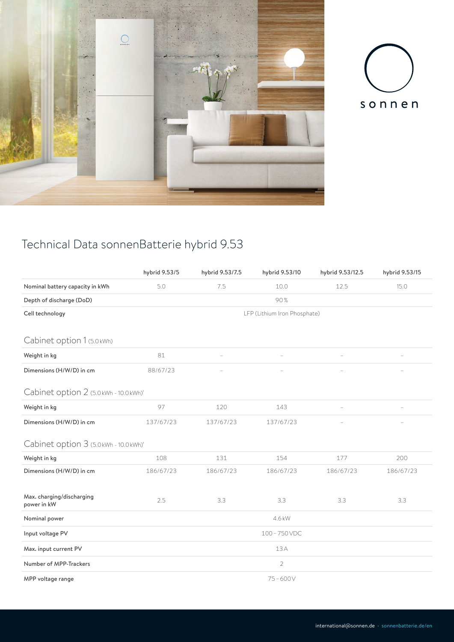



## Technical Data sonnenBatterie hybrid 9.53

|                                          | hybrid 9.53/5                | hybrid 9.53/7.5 | hybrid 9.53/10 | hybrid 9.53/12.5 | hybrid 9.53/15 |  |  |  |
|------------------------------------------|------------------------------|-----------------|----------------|------------------|----------------|--|--|--|
| Nominal battery capacity in kWh          | 5.0                          | 7.5             | 10.0           | 12.5             | 15.0           |  |  |  |
| Depth of discharge (DoD)                 | 90%                          |                 |                |                  |                |  |  |  |
| Cell technology                          | LFP (Lithium Iron Phosphate) |                 |                |                  |                |  |  |  |
|                                          |                              |                 |                |                  |                |  |  |  |
| Cabinet option 1 (5.0 kWh)               |                              |                 |                |                  |                |  |  |  |
| Weight in kg                             | 81                           |                 |                |                  |                |  |  |  |
| Dimensions (H/W/D) in cm                 | 88/67/23                     |                 |                |                  |                |  |  |  |
| Cabinet option 2 (5.0 kWh - 10.0 kWh)'   |                              |                 |                |                  |                |  |  |  |
| Weight in kg                             | 97                           | 120             | 143            |                  |                |  |  |  |
| Dimensions (H/W/D) in cm                 | 137/67/23                    | 137/67/23       | 137/67/23      |                  |                |  |  |  |
| Cabinet option 3 (5.0 kWh - 10.0 kWh)'   |                              |                 |                |                  |                |  |  |  |
| Weight in kg                             | 108                          | 131             | 154            | 177              | 200            |  |  |  |
| Dimensions (H/W/D) in cm                 | 186/67/23                    | 186/67/23       | 186/67/23      | 186/67/23        | 186/67/23      |  |  |  |
|                                          |                              |                 |                |                  |                |  |  |  |
| Max. charging/discharging<br>power in kW | 2.5                          | 3.3             | 3.3            | 3.3              | 3.3            |  |  |  |
| Nominal power                            | 4.6 kW                       |                 |                |                  |                |  |  |  |
| Input voltage PV                         | 100-750VDC                   |                 |                |                  |                |  |  |  |
| Max. input current PV                    | 13A                          |                 |                |                  |                |  |  |  |
| Number of MPP-Trackers                   | 2                            |                 |                |                  |                |  |  |  |
| MPP voltage range                        | $75 - 600V$                  |                 |                |                  |                |  |  |  |